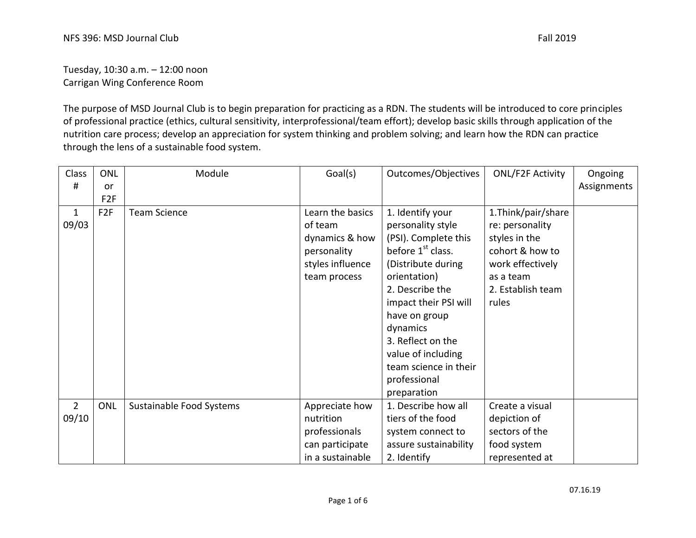Tuesday, 10:30 a.m. – 12:00 noon Carrigan Wing Conference Room

The purpose of MSD Journal Club is to begin preparation for practicing as a RDN. The students will be introduced to core principles of professional practice (ethics, cultural sensitivity, interprofessional/team effort); develop basic skills through application of the nutrition care process; develop an appreciation for system thinking and problem solving; and learn how the RDN can practice through the lens of a sustainable food system.

| Class          | <b>ONL</b>      | Module                   | Goal(s)          | Outcomes/Objectives           | <b>ONL/F2F Activity</b> | Ongoing     |
|----------------|-----------------|--------------------------|------------------|-------------------------------|-------------------------|-------------|
| #              | or              |                          |                  |                               |                         | Assignments |
|                | F <sub>2F</sub> |                          |                  |                               |                         |             |
| $\mathbf{1}$   | F <sub>2F</sub> | <b>Team Science</b>      | Learn the basics | 1. Identify your              | 1.Think/pair/share      |             |
| 09/03          |                 |                          | of team          | personality style             | re: personality         |             |
|                |                 |                          | dynamics & how   | (PSI). Complete this          | styles in the           |             |
|                |                 |                          | personality      | before 1 <sup>st</sup> class. | cohort & how to         |             |
|                |                 |                          | styles influence | (Distribute during            | work effectively        |             |
|                |                 |                          | team process     | orientation)                  | as a team               |             |
|                |                 |                          |                  | 2. Describe the               | 2. Establish team       |             |
|                |                 |                          |                  | impact their PSI will         | rules                   |             |
|                |                 |                          |                  | have on group                 |                         |             |
|                |                 |                          |                  | dynamics                      |                         |             |
|                |                 |                          |                  | 3. Reflect on the             |                         |             |
|                |                 |                          |                  | value of including            |                         |             |
|                |                 |                          |                  | team science in their         |                         |             |
|                |                 |                          |                  | professional                  |                         |             |
|                |                 |                          |                  | preparation                   |                         |             |
| $\overline{2}$ | <b>ONL</b>      | Sustainable Food Systems | Appreciate how   | 1. Describe how all           | Create a visual         |             |
| 09/10          |                 |                          | nutrition        | tiers of the food             | depiction of            |             |
|                |                 |                          | professionals    | system connect to             | sectors of the          |             |
|                |                 |                          | can participate  | assure sustainability         | food system             |             |
|                |                 |                          | in a sustainable | 2. Identify                   | represented at          |             |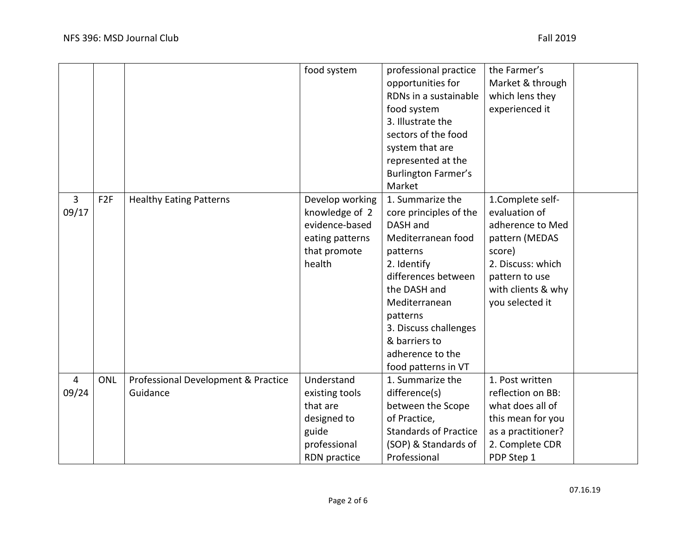|                         |                 |                                                 | food system                                                                                      | professional practice<br>opportunities for<br>RDNs in a sustainable<br>food system<br>3. Illustrate the<br>sectors of the food<br>system that are<br>represented at the<br><b>Burlington Farmer's</b><br>Market                                                  | the Farmer's<br>Market & through<br>which lens they<br>experienced it                                                                                             |  |
|-------------------------|-----------------|-------------------------------------------------|--------------------------------------------------------------------------------------------------|------------------------------------------------------------------------------------------------------------------------------------------------------------------------------------------------------------------------------------------------------------------|-------------------------------------------------------------------------------------------------------------------------------------------------------------------|--|
| 3<br>09/17              | F <sub>2F</sub> | <b>Healthy Eating Patterns</b>                  | Develop working<br>knowledge of 2<br>evidence-based<br>eating patterns<br>that promote<br>health | 1. Summarize the<br>core principles of the<br>DASH and<br>Mediterranean food<br>patterns<br>2. Identify<br>differences between<br>the DASH and<br>Mediterranean<br>patterns<br>3. Discuss challenges<br>& barriers to<br>adherence to the<br>food patterns in VT | 1.Complete self-<br>evaluation of<br>adherence to Med<br>pattern (MEDAS<br>score)<br>2. Discuss: which<br>pattern to use<br>with clients & why<br>you selected it |  |
| $\overline{4}$<br>09/24 | ONL             | Professional Development & Practice<br>Guidance | Understand<br>existing tools<br>that are<br>designed to<br>guide<br>professional<br>RDN practice | 1. Summarize the<br>difference(s)<br>between the Scope<br>of Practice,<br><b>Standards of Practice</b><br>(SOP) & Standards of<br>Professional                                                                                                                   | 1. Post written<br>reflection on BB:<br>what does all of<br>this mean for you<br>as a practitioner?<br>2. Complete CDR<br>PDP Step 1                              |  |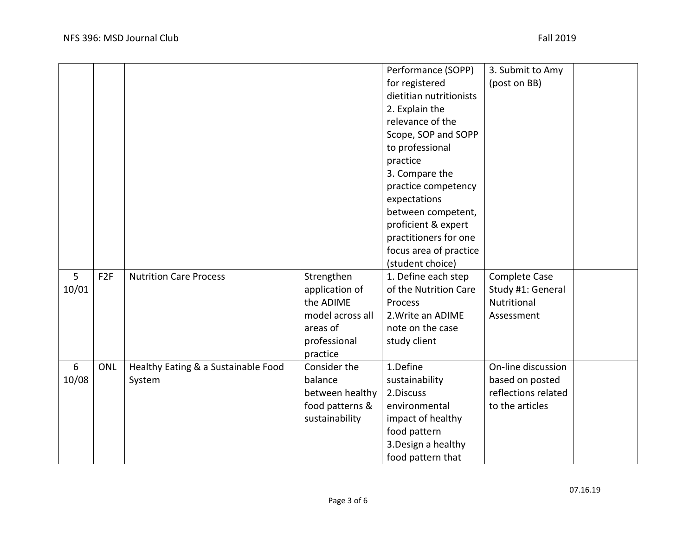|                |                 |                                     |                  | Performance (SOPP)      | 3. Submit to Amy    |  |
|----------------|-----------------|-------------------------------------|------------------|-------------------------|---------------------|--|
|                |                 |                                     |                  | for registered          | (post on BB)        |  |
|                |                 |                                     |                  | dietitian nutritionists |                     |  |
|                |                 |                                     |                  | 2. Explain the          |                     |  |
|                |                 |                                     |                  | relevance of the        |                     |  |
|                |                 |                                     |                  | Scope, SOP and SOPP     |                     |  |
|                |                 |                                     |                  | to professional         |                     |  |
|                |                 |                                     |                  | practice                |                     |  |
|                |                 |                                     |                  | 3. Compare the          |                     |  |
|                |                 |                                     |                  | practice competency     |                     |  |
|                |                 |                                     |                  | expectations            |                     |  |
|                |                 |                                     |                  | between competent,      |                     |  |
|                |                 |                                     |                  | proficient & expert     |                     |  |
|                |                 |                                     |                  | practitioners for one   |                     |  |
|                |                 |                                     |                  | focus area of practice  |                     |  |
|                |                 |                                     |                  | (student choice)        |                     |  |
| 5              | F <sub>2F</sub> | <b>Nutrition Care Process</b>       | Strengthen       | 1. Define each step     | Complete Case       |  |
| 10/01          |                 |                                     | application of   | of the Nutrition Care   | Study #1: General   |  |
|                |                 |                                     | the ADIME        | Process                 | Nutritional         |  |
|                |                 |                                     | model across all | 2. Write an ADIME       | Assessment          |  |
|                |                 |                                     | areas of         | note on the case        |                     |  |
|                |                 |                                     | professional     | study client            |                     |  |
|                |                 |                                     | practice         |                         |                     |  |
| $6\phantom{1}$ | <b>ONL</b>      | Healthy Eating & a Sustainable Food | Consider the     | 1.Define                | On-line discussion  |  |
| 10/08          |                 | System                              | balance          | sustainability          | based on posted     |  |
|                |                 |                                     | between healthy  | 2.Discuss               | reflections related |  |
|                |                 |                                     | food patterns &  | environmental           | to the articles     |  |
|                |                 |                                     | sustainability   | impact of healthy       |                     |  |
|                |                 |                                     |                  | food pattern            |                     |  |
|                |                 |                                     |                  | 3. Design a healthy     |                     |  |
|                |                 |                                     |                  | food pattern that       |                     |  |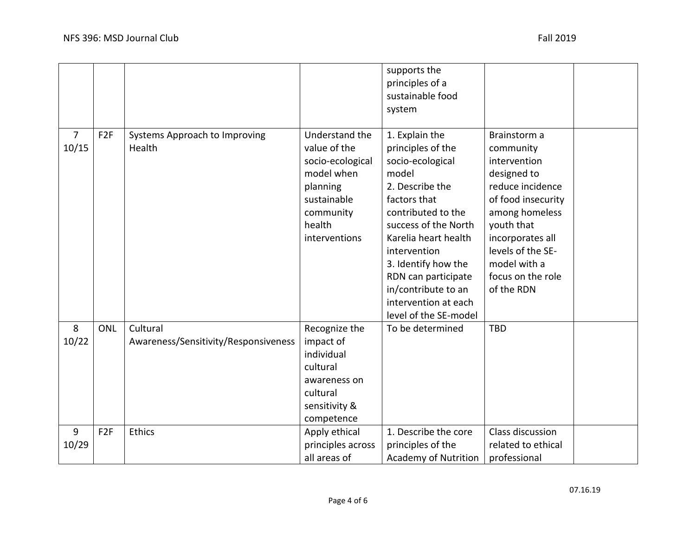|                         |                 |                                                  |                                                                                                                                     | supports the<br>principles of a<br>sustainable food<br>system                                                                                                                                                                                                                                                   |                                                                                                                                                                                                                                |  |
|-------------------------|-----------------|--------------------------------------------------|-------------------------------------------------------------------------------------------------------------------------------------|-----------------------------------------------------------------------------------------------------------------------------------------------------------------------------------------------------------------------------------------------------------------------------------------------------------------|--------------------------------------------------------------------------------------------------------------------------------------------------------------------------------------------------------------------------------|--|
| $\overline{7}$<br>10/15 | F <sub>2F</sub> | Systems Approach to Improving<br>Health          | Understand the<br>value of the<br>socio-ecological<br>model when<br>planning<br>sustainable<br>community<br>health<br>interventions | 1. Explain the<br>principles of the<br>socio-ecological<br>model<br>2. Describe the<br>factors that<br>contributed to the<br>success of the North<br>Karelia heart health<br>intervention<br>3. Identify how the<br>RDN can participate<br>in/contribute to an<br>intervention at each<br>level of the SE-model | Brainstorm a<br>community<br>intervention<br>designed to<br>reduce incidence<br>of food insecurity<br>among homeless<br>youth that<br>incorporates all<br>levels of the SE-<br>model with a<br>focus on the role<br>of the RDN |  |
| 8<br>10/22              | <b>ONL</b>      | Cultural<br>Awareness/Sensitivity/Responsiveness | Recognize the<br>impact of<br>individual<br>cultural<br>awareness on<br>cultural<br>sensitivity &<br>competence                     | To be determined                                                                                                                                                                                                                                                                                                | <b>TBD</b>                                                                                                                                                                                                                     |  |
| 9<br>10/29              | F <sub>2F</sub> | Ethics                                           | Apply ethical<br>principles across<br>all areas of                                                                                  | 1. Describe the core<br>principles of the<br><b>Academy of Nutrition</b>                                                                                                                                                                                                                                        | Class discussion<br>related to ethical<br>professional                                                                                                                                                                         |  |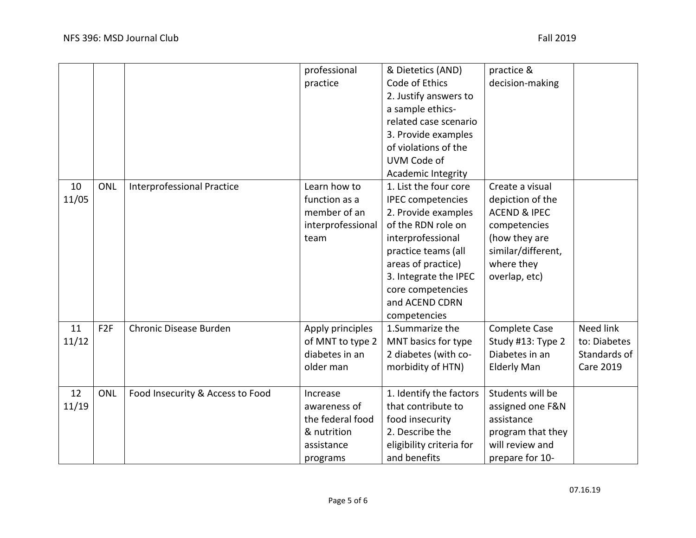|       |                 |                                   | professional      | & Dietetics (AND)         | practice &              |                  |
|-------|-----------------|-----------------------------------|-------------------|---------------------------|-------------------------|------------------|
|       |                 |                                   | practice          | Code of Ethics            | decision-making         |                  |
|       |                 |                                   |                   | 2. Justify answers to     |                         |                  |
|       |                 |                                   |                   | a sample ethics-          |                         |                  |
|       |                 |                                   |                   | related case scenario     |                         |                  |
|       |                 |                                   |                   | 3. Provide examples       |                         |                  |
|       |                 |                                   |                   | of violations of the      |                         |                  |
|       |                 |                                   |                   | UVM Code of               |                         |                  |
|       |                 |                                   |                   | <b>Academic Integrity</b> |                         |                  |
| 10    | <b>ONL</b>      | <b>Interprofessional Practice</b> | Learn how to      | 1. List the four core     | Create a visual         |                  |
| 11/05 |                 |                                   | function as a     | <b>IPEC</b> competencies  | depiction of the        |                  |
|       |                 |                                   | member of an      | 2. Provide examples       | <b>ACEND &amp; IPEC</b> |                  |
|       |                 |                                   | interprofessional | of the RDN role on        | competencies            |                  |
|       |                 |                                   | team              | interprofessional         | (how they are           |                  |
|       |                 |                                   |                   | practice teams (all       | similar/different,      |                  |
|       |                 |                                   |                   | areas of practice)        | where they              |                  |
|       |                 |                                   |                   | 3. Integrate the IPEC     | overlap, etc)           |                  |
|       |                 |                                   |                   | core competencies         |                         |                  |
|       |                 |                                   |                   | and ACEND CDRN            |                         |                  |
|       |                 |                                   |                   | competencies              |                         |                  |
| 11    | F <sub>2F</sub> | Chronic Disease Burden            | Apply principles  | 1. Summarize the          | <b>Complete Case</b>    | Need link        |
| 11/12 |                 |                                   | of MNT to type 2  | MNT basics for type       | Study #13: Type 2       | to: Diabetes     |
|       |                 |                                   | diabetes in an    | 2 diabetes (with co-      | Diabetes in an          | Standards of     |
|       |                 |                                   | older man         | morbidity of HTN)         | <b>Elderly Man</b>      | <b>Care 2019</b> |
|       |                 |                                   |                   |                           |                         |                  |
| 12    | ONL             | Food Insecurity & Access to Food  | Increase          | 1. Identify the factors   | Students will be        |                  |
| 11/19 |                 |                                   | awareness of      | that contribute to        | assigned one F&N        |                  |
|       |                 |                                   | the federal food  | food insecurity           | assistance              |                  |
|       |                 |                                   | & nutrition       | 2. Describe the           | program that they       |                  |
|       |                 |                                   | assistance        | eligibility criteria for  | will review and         |                  |
|       |                 |                                   | programs          | and benefits              | prepare for 10-         |                  |